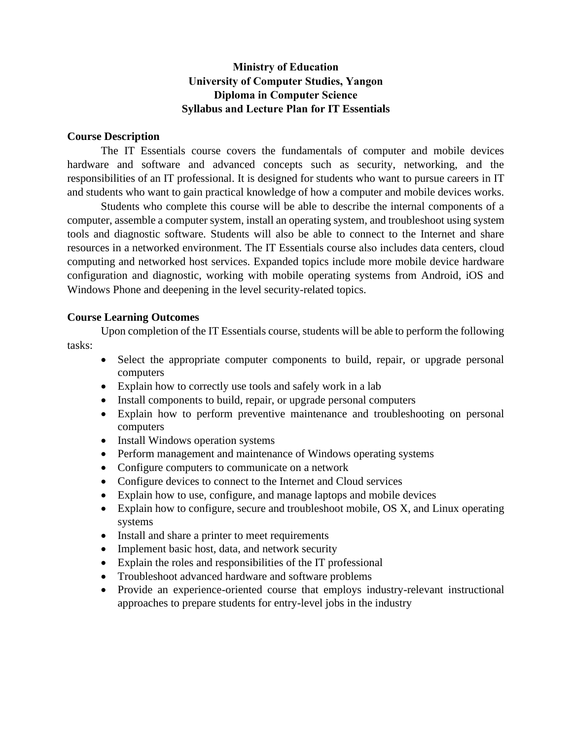## **Ministry of Education University of Computer Studies, Yangon Diploma in Computer Science Syllabus and Lecture Plan for IT Essentials**

#### **Course Description**

The IT Essentials course covers the fundamentals of computer and mobile devices hardware and software and advanced concepts such as security, networking, and the responsibilities of an IT professional. It is designed for students who want to pursue careers in IT and students who want to gain practical knowledge of how a computer and mobile devices works.

Students who complete this course will be able to describe the internal components of a computer, assemble a computer system, install an operating system, and troubleshoot using system tools and diagnostic software. Students will also be able to connect to the Internet and share resources in a networked environment. The IT Essentials course also includes data centers, cloud computing and networked host services. Expanded topics include more mobile device hardware configuration and diagnostic, working with mobile operating systems from Android, iOS and Windows Phone and deepening in the level security-related topics.

### **Course Learning Outcomes**

Upon completion of the IT Essentials course, students will be able to perform the following tasks:

- Select the appropriate computer components to build, repair, or upgrade personal computers
- Explain how to correctly use tools and safely work in a lab
- Install components to build, repair, or upgrade personal computers
- Explain how to perform preventive maintenance and troubleshooting on personal computers
- Install Windows operation systems
- Perform management and maintenance of Windows operating systems
- Configure computers to communicate on a network
- Configure devices to connect to the Internet and Cloud services
- Explain how to use, configure, and manage laptops and mobile devices
- Explain how to configure, secure and troubleshoot mobile, OS X, and Linux operating systems
- Install and share a printer to meet requirements
- Implement basic host, data, and network security
- Explain the roles and responsibilities of the IT professional
- Troubleshoot advanced hardware and software problems
- Provide an experience-oriented course that employs industry-relevant instructional approaches to prepare students for entry-level jobs in the industry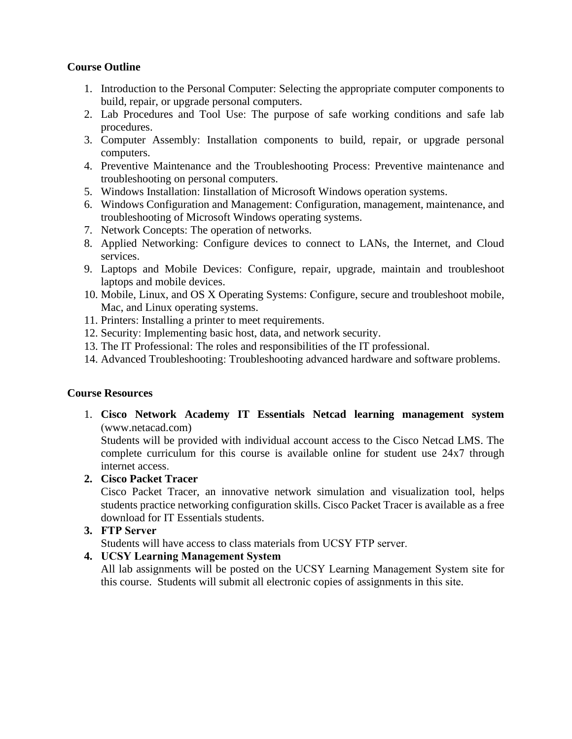## **Course Outline**

- 1. Introduction to the Personal Computer: Selecting the appropriate computer components to build, repair, or upgrade personal computers.
- 2. Lab Procedures and Tool Use: The purpose of safe working conditions and safe lab procedures.
- 3. Computer Assembly: Installation components to build, repair, or upgrade personal computers.
- 4. Preventive Maintenance and the Troubleshooting Process: Preventive maintenance and troubleshooting on personal computers.
- 5. Windows Installation: Iinstallation of Microsoft Windows operation systems.
- 6. Windows Configuration and Management: Configuration, management, maintenance, and troubleshooting of Microsoft Windows operating systems.
- 7. Network Concepts: The operation of networks.
- 8. Applied Networking: Configure devices to connect to LANs, the Internet, and Cloud services.
- 9. Laptops and Mobile Devices: Configure, repair, upgrade, maintain and troubleshoot laptops and mobile devices.
- 10. Mobile, Linux, and OS X Operating Systems: Configure, secure and troubleshoot mobile, Mac, and Linux operating systems.
- 11. Printers: Installing a printer to meet requirements.
- 12. Security: Implementing basic host, data, and network security.
- 13. The IT Professional: The roles and responsibilities of the IT professional.
- 14. Advanced Troubleshooting: Troubleshooting advanced hardware and software problems.

#### **Course Resources**

1. **Cisco Network Academy IT Essentials Netcad learning management system** (www.netacad.com)

Students will be provided with individual account access to the Cisco Netcad LMS. The complete curriculum for this course is available online for student use 24x7 through internet access.

#### **2. Cisco Packet Tracer**

Cisco Packet Tracer, an innovative network simulation and visualization tool, helps students practice networking configuration skills. Cisco Packet Tracer is available as a free download for IT Essentials students.

**3. FTP Server**

Students will have access to class materials from UCSY FTP server.

#### **4. UCSY Learning Management System**

All lab assignments will be posted on the UCSY Learning Management System site for this course. Students will submit all electronic copies of assignments in this site.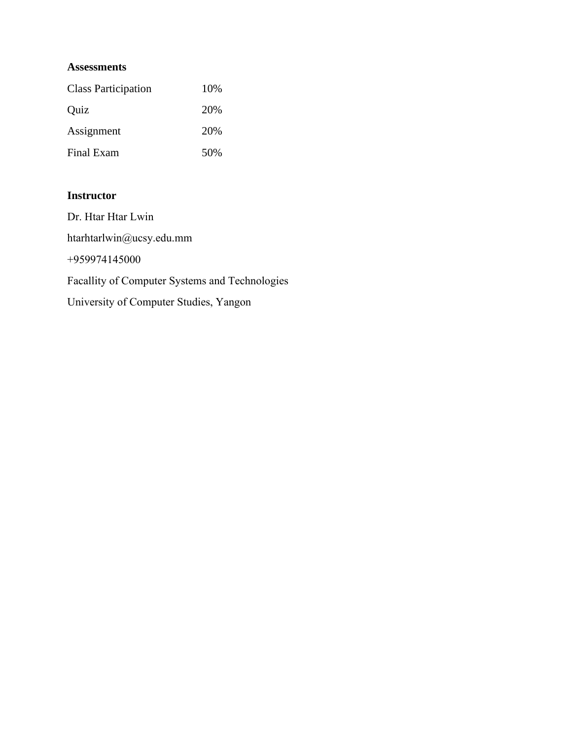#### **Assessments**

| <b>Class Participation</b> | 10% |
|----------------------------|-----|
| Quiz                       | 20% |
| Assignment                 | 20% |
| Final Exam                 | 50% |

## **Instructor**

Dr. Htar Htar Lwin htarhtarlwin@ucsy.edu.mm +959974145000 Facallity of Computer Systems and Technologies University of Computer Studies, Yangon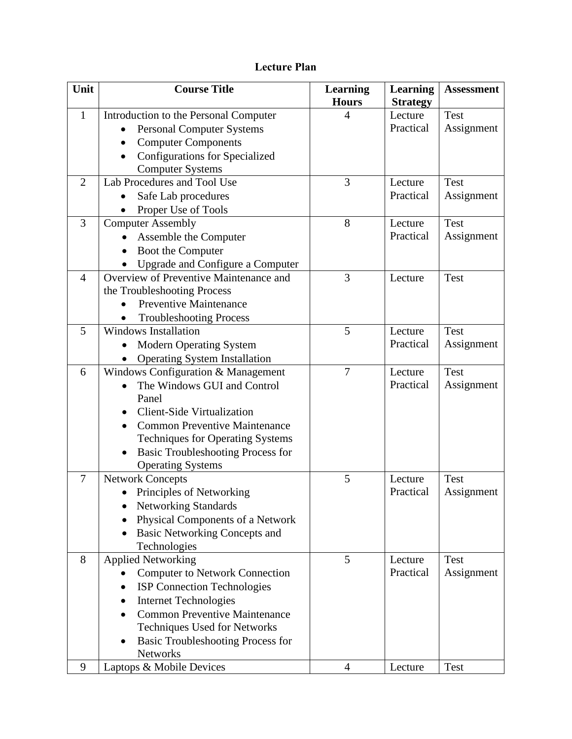# **Lecture Plan**

| Unit           | <b>Course Title</b>                                   | <b>Learning</b> | <b>Learning</b> | <b>Assessment</b> |
|----------------|-------------------------------------------------------|-----------------|-----------------|-------------------|
|                |                                                       | <b>Hours</b>    | <b>Strategy</b> |                   |
| $\mathbf{1}$   | Introduction to the Personal Computer                 | 4               | Lecture         | <b>Test</b>       |
|                | <b>Personal Computer Systems</b><br>$\bullet$         |                 | Practical       | Assignment        |
|                | <b>Computer Components</b><br>$\bullet$               |                 |                 |                   |
|                | <b>Configurations for Specialized</b>                 |                 |                 |                   |
|                | <b>Computer Systems</b>                               |                 |                 |                   |
| $\overline{2}$ | Lab Procedures and Tool Use                           | 3               | Lecture         | <b>Test</b>       |
|                | Safe Lab procedures                                   |                 | Practical       | Assignment        |
|                | Proper Use of Tools                                   |                 |                 |                   |
| 3              | <b>Computer Assembly</b>                              | 8               | Lecture         | <b>Test</b>       |
|                | Assemble the Computer                                 |                 | Practical       | Assignment        |
|                | Boot the Computer                                     |                 |                 |                   |
|                | Upgrade and Configure a Computer                      |                 |                 |                   |
| $\overline{4}$ | Overview of Preventive Maintenance and                | 3               | Lecture         | <b>Test</b>       |
|                | the Troubleshooting Process                           |                 |                 |                   |
|                | <b>Preventive Maintenance</b>                         |                 |                 |                   |
|                | <b>Troubleshooting Process</b>                        |                 |                 |                   |
| 5              | <b>Windows Installation</b>                           | 5               | Lecture         | <b>Test</b>       |
|                | <b>Modern Operating System</b>                        |                 | Practical       | Assignment        |
|                | <b>Operating System Installation</b>                  |                 |                 |                   |
| 6              | Windows Configuration & Management                    | 7               | Lecture         | <b>Test</b>       |
|                | The Windows GUI and Control                           |                 | Practical       | Assignment        |
|                | Panel                                                 |                 |                 |                   |
|                | <b>Client-Side Virtualization</b>                     |                 |                 |                   |
|                | <b>Common Preventive Maintenance</b>                  |                 |                 |                   |
|                | <b>Techniques for Operating Systems</b>               |                 |                 |                   |
|                | <b>Basic Troubleshooting Process for</b><br>$\bullet$ |                 |                 |                   |
|                | <b>Operating Systems</b>                              |                 |                 |                   |
| $\overline{7}$ | <b>Network Concepts</b>                               | 5               | Lecture         | <b>Test</b>       |
|                | Principles of Networking                              |                 | Practical       | Assignment        |
|                | <b>Networking Standards</b>                           |                 |                 |                   |
|                | Physical Components of a Network                      |                 |                 |                   |
|                | <b>Basic Networking Concepts and</b>                  |                 |                 |                   |
|                | Technologies                                          |                 |                 |                   |
| 8              | <b>Applied Networking</b>                             | 5               | Lecture         | <b>Test</b>       |
|                | <b>Computer to Network Connection</b>                 |                 | Practical       | Assignment        |
|                | <b>ISP</b> Connection Technologies                    |                 |                 |                   |
|                | <b>Internet Technologies</b><br>٠                     |                 |                 |                   |
|                | <b>Common Preventive Maintenance</b>                  |                 |                 |                   |
|                | <b>Techniques Used for Networks</b>                   |                 |                 |                   |
|                | <b>Basic Troubleshooting Process for</b>              |                 |                 |                   |
|                | <b>Networks</b>                                       |                 |                 |                   |
| 9              | Laptops & Mobile Devices                              | $\overline{4}$  | Lecture         | <b>Test</b>       |